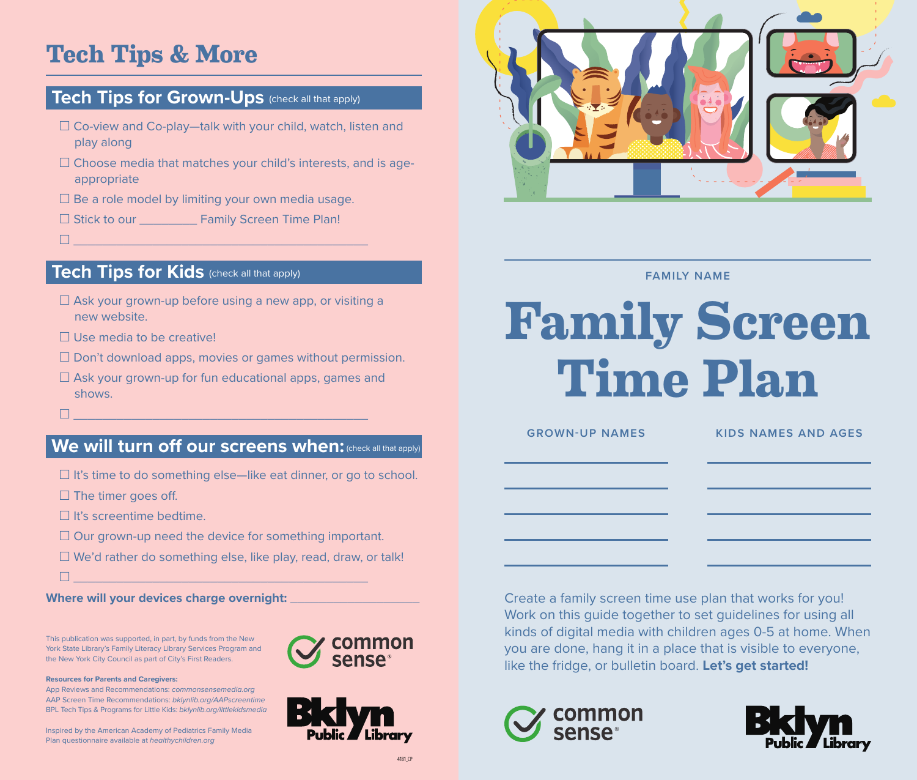# **Tech Tips & More**

## **Tech Tips for Grown-Ups** (check all that apply)

- $\Box$  Co-view and Co-play—talk with your child, watch, listen and play along
- $\Box$  Choose media that matches your child's interests, and is ageappropriate
- $\square$  Be a role model by limiting your own media usage.
- □ Stick to our \_\_\_\_\_\_\_\_\_ Family Screen Time Plan!
- $\Box$  , and the set of the set of the set of the set of the set of the set of the set of the set of the set of the set of the set of the set of the set of the set of the set of the set of the set of the set of the set of t

### **Tech Tips for Kids** (check all that apply)

- $\Box$  Ask your grown-up before using a new app, or visiting a new website.
- $\Box$  Use media to be creative!
- $\square$  Don't download apps, movies or games without permission.
- $\Box$  Ask your grown-up for fun educational apps, games and shows.
- \_\_\_\_\_\_\_\_\_\_\_\_\_\_\_\_\_\_\_\_\_\_\_\_\_\_\_\_\_\_\_\_\_\_\_\_\_\_\_\_\_

## **We will turn off our screens when:** (check all that apply)

- $\Box$  It's time to do something else—like eat dinner, or go to school.
- $\square$  The timer goes off.
- $\Box$  It's screentime bedtime.
- $\Box$  Our grown-up need the device for something important.
- $\Box$  We'd rather do something else, like play, read, draw, or talk!
- \_\_\_\_\_\_\_\_\_\_\_\_\_\_\_\_\_\_\_\_\_\_\_\_\_\_\_\_\_\_\_\_\_\_\_\_\_\_\_\_\_

**Where will your devices charge overnight:** \_\_\_\_\_\_\_\_\_\_\_\_\_\_\_\_\_\_

This publication was supported, in part, by funds from the New York State Library's Family Literacy Library Services Program and the New York City Council as part of City's First Readers.

#### **Resources for Parents and Caregivers:**

App Reviews and Recommendations: *commonsensemedia.org* AAP Screen Time Recommendations: *bklynlib.org/AAPscreentime* BPL Tech Tips & Programs for Little Kids: *bklynlib.org/littlekidsmedia*

Inspired by the American Academy of Pediatrics Family Media Plan questionnaire available at *healthychildren.org*







**FAMILY NAME**

# **Family Screen Time Plan**

| <b>GROWN-UP NAMES</b>                                                      | <b>KIDS NAMES AND AGES</b> |
|----------------------------------------------------------------------------|----------------------------|
| the control of the control of the control of the control of the control of |                            |
| the control of the control of the control of                               |                            |
|                                                                            |                            |
|                                                                            |                            |
| Treate a family screen time use plan that works for you!                   |                            |

Create a family screen time use plan that works for you! Work on this guide together to set guidelines for using all kinds of digital media with children ages 0-5 at home. When you are done, hang it in a place that is visible to everyone, like the fridge, or bulletin board. **Let's get started!**